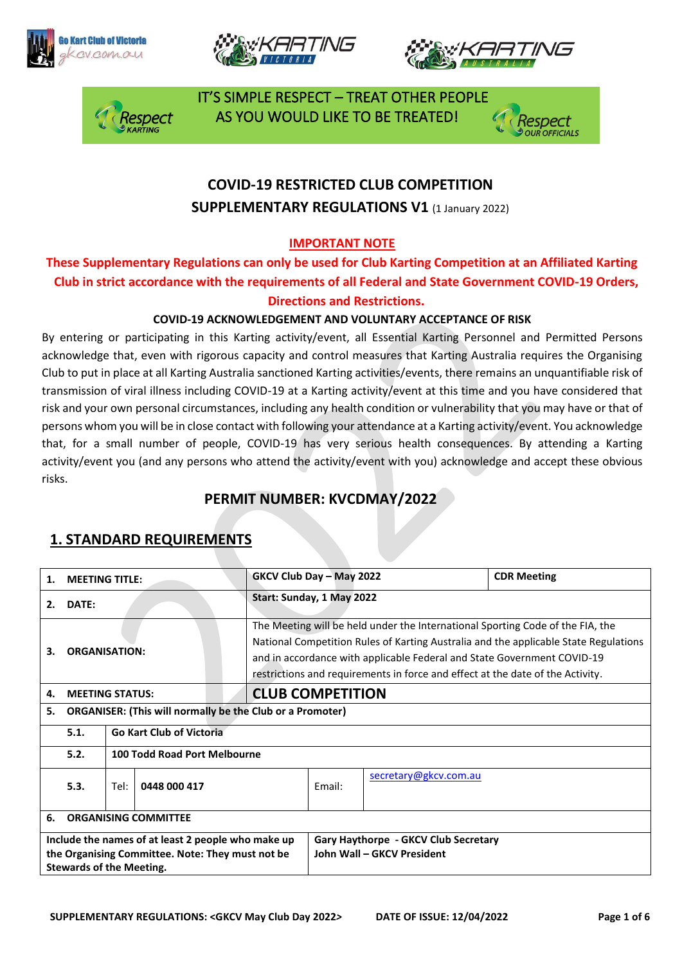







 IT'S SIMPLE RESPECT – TREAT OTHER PEOPLE espect AS YOU WOULD LIKE TO BE TREATED!



## **COVID-19 RESTRICTED CLUB COMPETITION SUPPLEMENTARY REGULATIONS V1 (1 January 2022)**

#### **IMPORTANT NOTE**

**These Supplementary Regulations can only be used for Club Karting Competition at an Affiliated Karting Club in strict accordance with the requirements of all Federal and State Government COVID-19 Orders, Directions and Restrictions.** 

#### **COVID-19 ACKNOWLEDGEMENT AND VOLUNTARY ACCEPTANCE OF RISK**

By entering or participating in this Karting activity/event, all Essential Karting Personnel and Permitted Persons acknowledge that, even with rigorous capacity and control measures that Karting Australia requires the Organising Club to put in place at all Karting Australia sanctioned Karting activities/events, there remains an unquantifiable risk of transmission of viral illness including COVID-19 at a Karting activity/event at this time and you have considered that risk and your own personal circumstances, including any health condition or vulnerability that you may have or that of persons whom you will be in close contact with following your attendance at a Karting activity/event. You acknowledge that, for a small number of people, COVID-19 has very serious health consequences. By attending a Karting activity/event you (and any persons who attend the activity/event with you) acknowledge and accept these obvious risks.

#### **PERMIT NUMBER: KVCDMAY/2022**

#### **1. MEETING TITLE: GKCV Club Day – May 2022 CDR Meeting 2. DATE: Start: Sunday, 1 May 2022 3. ORGANISATION:** The Meeting will be held under the International Sporting Code of the FIA, the National Competition Rules of Karting Australia and the applicable State Regulations and in accordance with applicable Federal and State Government COVID-19 restrictions and requirements in force and effect at the date of the Activity. **4. MEETING STATUS: CLUB COMPETITION 5. ORGANISER: (This will normally be the Club or a Promoter) 5.1. Go Kart Club of Victoria 5.2. 100 Todd Road Port Melbourne 5.3.** Tel: **0448 000 417** Email: [secretary@gkcv.com.au](mailto:secretary@gkcv.com.au) **6. ORGANISING COMMITTEE Include the names of at least 2 people who make up the Organising Committee. Note: They must not be Stewards of the Meeting. Gary Haythorpe - GKCV Club Secretary John Wall – GKCV President**

## **1. STANDARD REQUIREMENTS**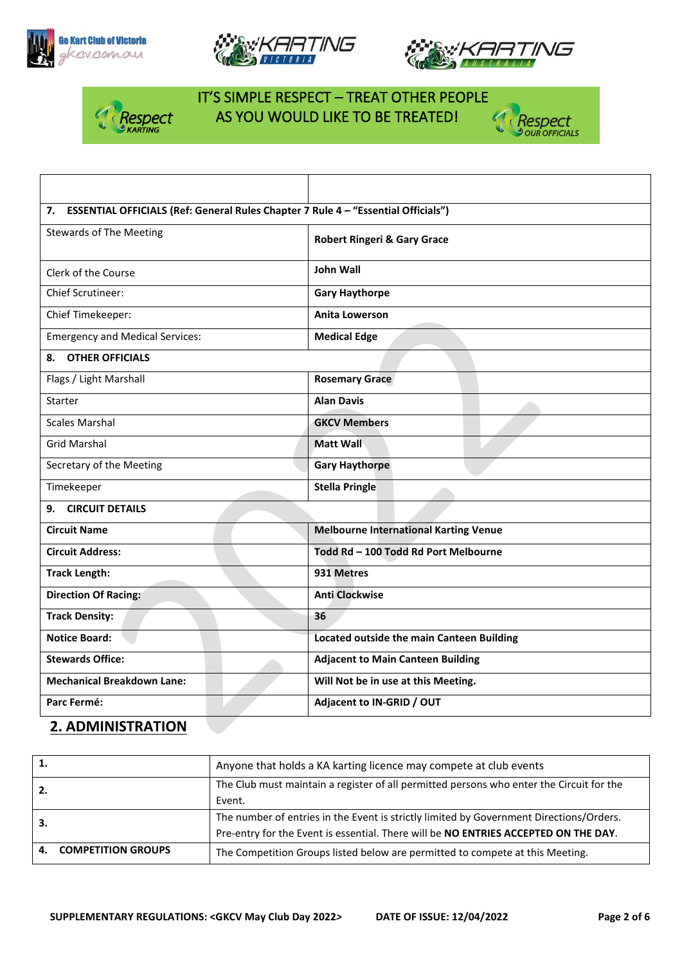







## IT'S SIMPLE RESPECT – TREAT OTHER PEOPLE **Respect AS YOU WOULD LIKE TO BE TREATED!**<br>SKARTING



| 7. ESSENTIAL OFFICIALS (Ref: General Rules Chapter 7 Rule 4 - "Essential Officials") |                                                  |  |
|--------------------------------------------------------------------------------------|--------------------------------------------------|--|
| <b>Stewards of The Meeting</b>                                                       | <b>Robert Ringeri &amp; Gary Grace</b>           |  |
| Clerk of the Course                                                                  | John Wall                                        |  |
| <b>Chief Scrutineer:</b>                                                             | <b>Gary Haythorpe</b>                            |  |
| Chief Timekeeper:                                                                    | <b>Anita Lowerson</b>                            |  |
| <b>Emergency and Medical Services:</b>                                               | <b>Medical Edge</b>                              |  |
| <b>OTHER OFFICIALS</b><br>8.                                                         |                                                  |  |
| Flags / Light Marshall                                                               | <b>Rosemary Grace</b>                            |  |
| Starter                                                                              | <b>Alan Davis</b>                                |  |
| <b>Scales Marshal</b>                                                                | <b>GKCV Members</b>                              |  |
| <b>Grid Marshal</b>                                                                  | <b>Matt Wall</b>                                 |  |
| Secretary of the Meeting                                                             | <b>Gary Haythorpe</b>                            |  |
| Timekeeper                                                                           | <b>Stella Pringle</b>                            |  |
| <b>CIRCUIT DETAILS</b><br>9.                                                         |                                                  |  |
| <b>Circuit Name</b>                                                                  | <b>Melbourne International Karting Venue</b>     |  |
| <b>Circuit Address:</b>                                                              | Todd Rd - 100 Todd Rd Port Melbourne             |  |
| <b>Track Length:</b>                                                                 | 931 Metres                                       |  |
| <b>Direction Of Racing:</b>                                                          | <b>Anti Clockwise</b>                            |  |
| <b>Track Density:</b>                                                                | 36                                               |  |
| <b>Notice Board:</b>                                                                 | <b>Located outside the main Canteen Building</b> |  |
| <b>Stewards Office:</b>                                                              | <b>Adjacent to Main Canteen Building</b>         |  |
| <b>Mechanical Breakdown Lane:</b>                                                    | Will Not be in use at this Meeting.              |  |
| Parc Fermé:                                                                          | Adjacent to IN-GRID / OUT                        |  |

#### **2. ADMINISTRATION**

|     |                       | Anyone that holds a KA karting licence may compete at club events                        |
|-----|-----------------------|------------------------------------------------------------------------------------------|
| 2.  |                       | The Club must maintain a register of all permitted persons who enter the Circuit for the |
|     |                       | Event.                                                                                   |
| -3. |                       | The number of entries in the Event is strictly limited by Government Directions/Orders.  |
|     |                       | Pre-entry for the Event is essential. There will be NO ENTRIES ACCEPTED ON THE DAY.      |
|     | 4. COMPETITION GROUPS | The Competition Groups listed below are permitted to compete at this Meeting.            |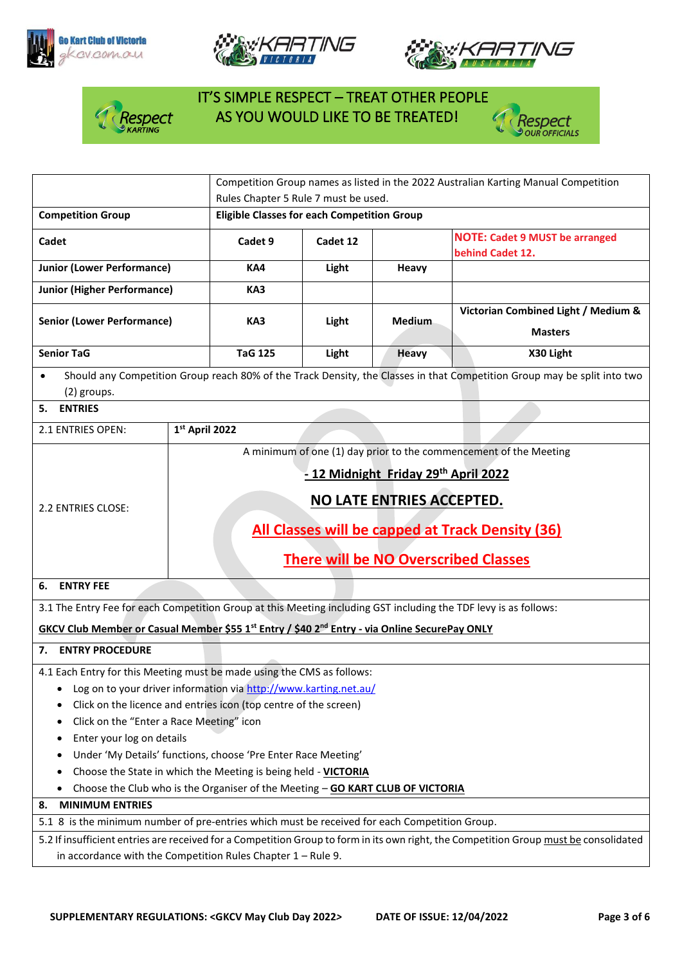







# IT'S SIMPLE RESPECT – TREAT OTHER PEOPLE **Asspect AS YOU WOULD LIKE TO BE TREATED!**



|                                                                                                                                       |                                      | Competition Group names as listed in the 2022 Australian Karting Manual Competition |          |               |                                                                                                                          |  |  |
|---------------------------------------------------------------------------------------------------------------------------------------|--------------------------------------|-------------------------------------------------------------------------------------|----------|---------------|--------------------------------------------------------------------------------------------------------------------------|--|--|
| Rules Chapter 5 Rule 7 must be used.                                                                                                  |                                      |                                                                                     |          |               |                                                                                                                          |  |  |
| <b>Competition Group</b>                                                                                                              |                                      | <b>Eligible Classes for each Competition Group</b>                                  |          |               |                                                                                                                          |  |  |
| Cadet                                                                                                                                 |                                      | Cadet 9                                                                             | Cadet 12 |               | <b>NOTE: Cadet 9 MUST be arranged</b><br>behind Cadet 12.                                                                |  |  |
| <b>Junior (Lower Performance)</b>                                                                                                     |                                      | KA4                                                                                 | Light    | Heavy         |                                                                                                                          |  |  |
| <b>Junior (Higher Performance)</b>                                                                                                    |                                      | KA3                                                                                 |          |               |                                                                                                                          |  |  |
|                                                                                                                                       |                                      |                                                                                     |          |               | Victorian Combined Light / Medium &                                                                                      |  |  |
| <b>Senior (Lower Performance)</b>                                                                                                     |                                      | KA3                                                                                 | Light    | <b>Medium</b> |                                                                                                                          |  |  |
|                                                                                                                                       |                                      |                                                                                     |          |               | <b>Masters</b>                                                                                                           |  |  |
| <b>Senior TaG</b>                                                                                                                     |                                      | <b>TaG 125</b>                                                                      | Light    | <b>Heavy</b>  | X30 Light                                                                                                                |  |  |
| $\bullet$                                                                                                                             |                                      |                                                                                     |          |               | Should any Competition Group reach 80% of the Track Density, the Classes in that Competition Group may be split into two |  |  |
| (2) groups.                                                                                                                           |                                      |                                                                                     |          |               |                                                                                                                          |  |  |
| <b>ENTRIES</b><br>5.                                                                                                                  |                                      |                                                                                     |          |               |                                                                                                                          |  |  |
| 2.1 ENTRIES OPEN:                                                                                                                     | 1st April 2022                       |                                                                                     |          |               |                                                                                                                          |  |  |
|                                                                                                                                       |                                      |                                                                                     |          |               | A minimum of one (1) day prior to the commencement of the Meeting                                                        |  |  |
|                                                                                                                                       |                                      |                                                                                     |          |               |                                                                                                                          |  |  |
|                                                                                                                                       | - 12 Midnight Friday 29th April 2022 |                                                                                     |          |               |                                                                                                                          |  |  |
| 2.2 ENTRIES CLOSE:                                                                                                                    |                                      | NO LATE ENTRIES ACCEPTED.                                                           |          |               |                                                                                                                          |  |  |
|                                                                                                                                       |                                      |                                                                                     |          |               |                                                                                                                          |  |  |
|                                                                                                                                       |                                      |                                                                                     |          |               | All Classes will be capped at Track Density (36)                                                                         |  |  |
|                                                                                                                                       |                                      | <b>There will be NO Overscribed Classes</b>                                         |          |               |                                                                                                                          |  |  |
|                                                                                                                                       |                                      |                                                                                     |          |               |                                                                                                                          |  |  |
| <b>ENTRY FEE</b><br>6.                                                                                                                |                                      |                                                                                     |          |               |                                                                                                                          |  |  |
| 3.1 The Entry Fee for each Competition Group at this Meeting including GST including the TDF levy is as follows:                      |                                      |                                                                                     |          |               |                                                                                                                          |  |  |
| GKCV Club Member or Casual Member \$55 1st Entry / \$40 2nd Entry - via Online SecurePay ONLY                                         |                                      |                                                                                     |          |               |                                                                                                                          |  |  |
| 7. ENTRY PROCEDURE                                                                                                                    |                                      |                                                                                     |          |               |                                                                                                                          |  |  |
| 4.1 Each Entry for this Meeting must be made using the CMS as follows:                                                                |                                      |                                                                                     |          |               |                                                                                                                          |  |  |
| Log on to your driver information via http://www.karting.net.au/                                                                      |                                      |                                                                                     |          |               |                                                                                                                          |  |  |
| Click on the licence and entries icon (top centre of the screen)                                                                      |                                      |                                                                                     |          |               |                                                                                                                          |  |  |
| Click on the "Enter a Race Meeting" icon                                                                                              |                                      |                                                                                     |          |               |                                                                                                                          |  |  |
| Enter your log on details                                                                                                             |                                      |                                                                                     |          |               |                                                                                                                          |  |  |
| Under 'My Details' functions, choose 'Pre Enter Race Meeting'                                                                         |                                      |                                                                                     |          |               |                                                                                                                          |  |  |
| Choose the State in which the Meeting is being held - VICTORIA                                                                        |                                      |                                                                                     |          |               |                                                                                                                          |  |  |
| Choose the Club who is the Organiser of the Meeting - GO KART CLUB OF VICTORIA                                                        |                                      |                                                                                     |          |               |                                                                                                                          |  |  |
| <b>MINIMUM ENTRIES</b><br>8.                                                                                                          |                                      |                                                                                     |          |               |                                                                                                                          |  |  |
| 5.1 8 is the minimum number of pre-entries which must be received for each Competition Group.                                         |                                      |                                                                                     |          |               |                                                                                                                          |  |  |
| 5.2 If insufficient entries are received for a Competition Group to form in its own right, the Competition Group must be consolidated |                                      |                                                                                     |          |               |                                                                                                                          |  |  |
| in accordance with the Competition Rules Chapter $1 -$ Rule 9.                                                                        |                                      |                                                                                     |          |               |                                                                                                                          |  |  |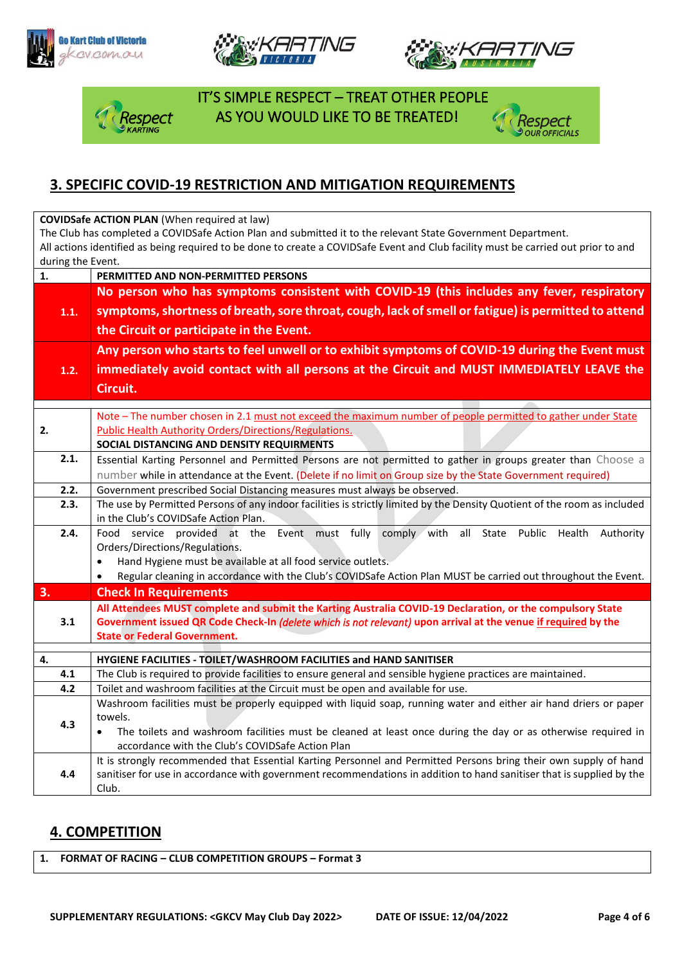







 IT'S SIMPLE RESPECT – TREAT OTHER PEOPLE spect AS YOU WOULD LIKE TO BE TREATED!



#### **3. SPECIFIC COVID-19 RESTRICTION AND MITIGATION REQUIREMENTS**

**COVIDSafe ACTION PLAN** (When required at law)

The Club has completed a COVIDSafe Action Plan and submitted it to the relevant State Government Department. All actions identified as being required to be done to create a COVIDSafe Event and Club facility must be carried out prior to and during the Event.

| $\mathbf{1}$ . | PERMITTED AND NON-PERMITTED PERSONS                                                                                         |  |  |  |
|----------------|-----------------------------------------------------------------------------------------------------------------------------|--|--|--|
|                | No person who has symptoms consistent with COVID-19 (this includes any fever, respiratory                                   |  |  |  |
| 1.1.           | symptoms, shortness of breath, sore throat, cough, lack of smell or fatigue) is permitted to attend                         |  |  |  |
|                | the Circuit or participate in the Event.                                                                                    |  |  |  |
|                | Any person who starts to feel unwell or to exhibit symptoms of COVID-19 during the Event must                               |  |  |  |
| 1.2.           | immediately avoid contact with all persons at the Circuit and MUST IMMEDIATELY LEAVE the                                    |  |  |  |
|                | Circuit.                                                                                                                    |  |  |  |
|                |                                                                                                                             |  |  |  |
|                | Note - The number chosen in 2.1 must not exceed the maximum number of people permitted to gather under State                |  |  |  |
| 2.             | <b>Public Health Authority Orders/Directions/Regulations.</b>                                                               |  |  |  |
|                | SOCIAL DISTANCING AND DENSITY REQUIRMENTS                                                                                   |  |  |  |
| 2.1.           | Essential Karting Personnel and Permitted Persons are not permitted to gather in groups greater than Choose a               |  |  |  |
|                | number while in attendance at the Event. (Delete if no limit on Group size by the State Government required)                |  |  |  |
| 2.2.           | Government prescribed Social Distancing measures must always be observed.                                                   |  |  |  |
| 2.3.           | The use by Permitted Persons of any indoor facilities is strictly limited by the Density Quotient of the room as included   |  |  |  |
|                | in the Club's COVIDSafe Action Plan.                                                                                        |  |  |  |
| 2.4.           | Food service provided at the Event must fully comply with all State Public Health Authority                                 |  |  |  |
|                | Orders/Directions/Regulations.                                                                                              |  |  |  |
|                | Hand Hygiene must be available at all food service outlets.<br>$\bullet$                                                    |  |  |  |
|                | Regular cleaning in accordance with the Club's COVIDSafe Action Plan MUST be carried out throughout the Event.<br>$\bullet$ |  |  |  |
| 3.             | <b>Check In Requirements</b>                                                                                                |  |  |  |
|                | All Attendees MUST complete and submit the Karting Australia COVID-19 Declaration, or the compulsory State                  |  |  |  |
| 3.1            | Government issued QR Code Check-In (delete which is not relevant) upon arrival at the venue if required by the              |  |  |  |
|                | <b>State or Federal Government.</b>                                                                                         |  |  |  |
| 4.             | HYGIENE FACILITIES - TOILET/WASHROOM FACILITIES and HAND SANITISER                                                          |  |  |  |
| 4.1            | The Club is required to provide facilities to ensure general and sensible hygiene practices are maintained.                 |  |  |  |
| 4.2            | Toilet and washroom facilities at the Circuit must be open and available for use.                                           |  |  |  |
|                | Washroom facilities must be properly equipped with liquid soap, running water and either air hand driers or paper           |  |  |  |
| towels.<br>4.3 |                                                                                                                             |  |  |  |
|                | The toilets and washroom facilities must be cleaned at least once during the day or as otherwise required in<br>$\bullet$   |  |  |  |
|                | accordance with the Club's COVIDSafe Action Plan                                                                            |  |  |  |
|                | It is strongly recommended that Essential Karting Personnel and Permitted Persons bring their own supply of hand            |  |  |  |
| 4.4            | sanitiser for use in accordance with government recommendations in addition to hand sanitiser that is supplied by the       |  |  |  |
|                | Club.                                                                                                                       |  |  |  |

#### **4. COMPETITION**

**1. FORMAT OF RACING – CLUB COMPETITION GROUPS – Format 3**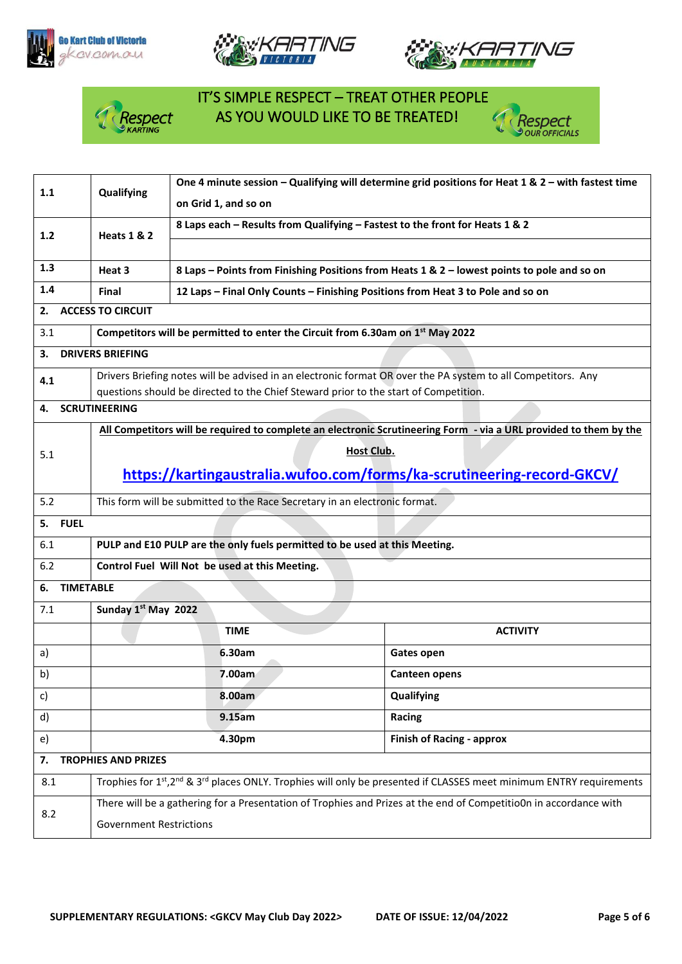







# IT'S SIMPLE RESPECT – TREAT OTHER PEOPLE **Respect** AS YOU WOULD LIKE TO BE TREATED!



| 1.1                    | Qualifying                                                                                                        | One 4 minute session - Qualifying will determine grid positions for Heat 1 & $2$ - with fastest time |                                                                                                                                             |  |
|------------------------|-------------------------------------------------------------------------------------------------------------------|------------------------------------------------------------------------------------------------------|---------------------------------------------------------------------------------------------------------------------------------------------|--|
|                        |                                                                                                                   | on Grid 1, and so on                                                                                 |                                                                                                                                             |  |
| $1.2$                  | <b>Heats 1 &amp; 2</b>                                                                                            | 8 Laps each - Results from Qualifying - Fastest to the front for Heats 1 & 2                         |                                                                                                                                             |  |
|                        |                                                                                                                   |                                                                                                      |                                                                                                                                             |  |
| 1.3                    | Heat 3                                                                                                            |                                                                                                      | 8 Laps - Points from Finishing Positions from Heats 1 & 2 - lowest points to pole and so on                                                 |  |
| 1.4                    | Final                                                                                                             | 12 Laps - Final Only Counts - Finishing Positions from Heat 3 to Pole and so on                      |                                                                                                                                             |  |
| 2.                     | <b>ACCESS TO CIRCUIT</b>                                                                                          |                                                                                                      |                                                                                                                                             |  |
| 3.1                    |                                                                                                                   | Competitors will be permitted to enter the Circuit from 6.30am on 1st May 2022                       |                                                                                                                                             |  |
| З.                     | <b>DRIVERS BRIEFING</b>                                                                                           |                                                                                                      |                                                                                                                                             |  |
| 4.1                    | Drivers Briefing notes will be advised in an electronic format OR over the PA system to all Competitors. Any      |                                                                                                      |                                                                                                                                             |  |
|                        |                                                                                                                   | questions should be directed to the Chief Steward prior to the start of Competition.                 |                                                                                                                                             |  |
| 4.                     | <b>SCRUTINEERING</b>                                                                                              |                                                                                                      |                                                                                                                                             |  |
|                        |                                                                                                                   |                                                                                                      | All Competitors will be required to complete an electronic Scrutineering Form - via a URL provided to them by the                           |  |
| 5.1                    |                                                                                                                   | <b>Host Club.</b>                                                                                    |                                                                                                                                             |  |
|                        | https://kartingaustralia.wufoo.com/forms/ka-scrutineering-record-GKCV/                                            |                                                                                                      |                                                                                                                                             |  |
| 5.2                    |                                                                                                                   | This form will be submitted to the Race Secretary in an electronic format.                           |                                                                                                                                             |  |
| 5. FUEL                |                                                                                                                   |                                                                                                      |                                                                                                                                             |  |
| 6.1                    | PULP and E10 PULP are the only fuels permitted to be used at this Meeting.                                        |                                                                                                      |                                                                                                                                             |  |
| 6.2                    |                                                                                                                   | Control Fuel Will Not be used at this Meeting.                                                       |                                                                                                                                             |  |
| <b>TIMETABLE</b><br>6. |                                                                                                                   |                                                                                                      |                                                                                                                                             |  |
| 7.1                    | Sunday 1st May 2022                                                                                               |                                                                                                      |                                                                                                                                             |  |
|                        |                                                                                                                   | <b>TIME</b>                                                                                          | <b>ACTIVITY</b>                                                                                                                             |  |
| a)                     |                                                                                                                   | 6.30am                                                                                               | Gates open                                                                                                                                  |  |
| b)                     |                                                                                                                   | 7.00am                                                                                               | <b>Canteen opens</b>                                                                                                                        |  |
| c)                     | Qualifying<br>8.00am                                                                                              |                                                                                                      |                                                                                                                                             |  |
| d)                     |                                                                                                                   | 9.15am                                                                                               | Racing                                                                                                                                      |  |
| e)                     | 4.30pm<br><b>Finish of Racing - approx</b>                                                                        |                                                                                                      |                                                                                                                                             |  |
| 7.                     | <b>TROPHIES AND PRIZES</b>                                                                                        |                                                                                                      |                                                                                                                                             |  |
| 8.1                    |                                                                                                                   |                                                                                                      | Trophies for 1st, 2 <sup>nd</sup> & 3 <sup>rd</sup> places ONLY. Trophies will only be presented if CLASSES meet minimum ENTRY requirements |  |
|                        | There will be a gathering for a Presentation of Trophies and Prizes at the end of Competitio0n in accordance with |                                                                                                      |                                                                                                                                             |  |
| 8.2                    | <b>Government Restrictions</b>                                                                                    |                                                                                                      |                                                                                                                                             |  |